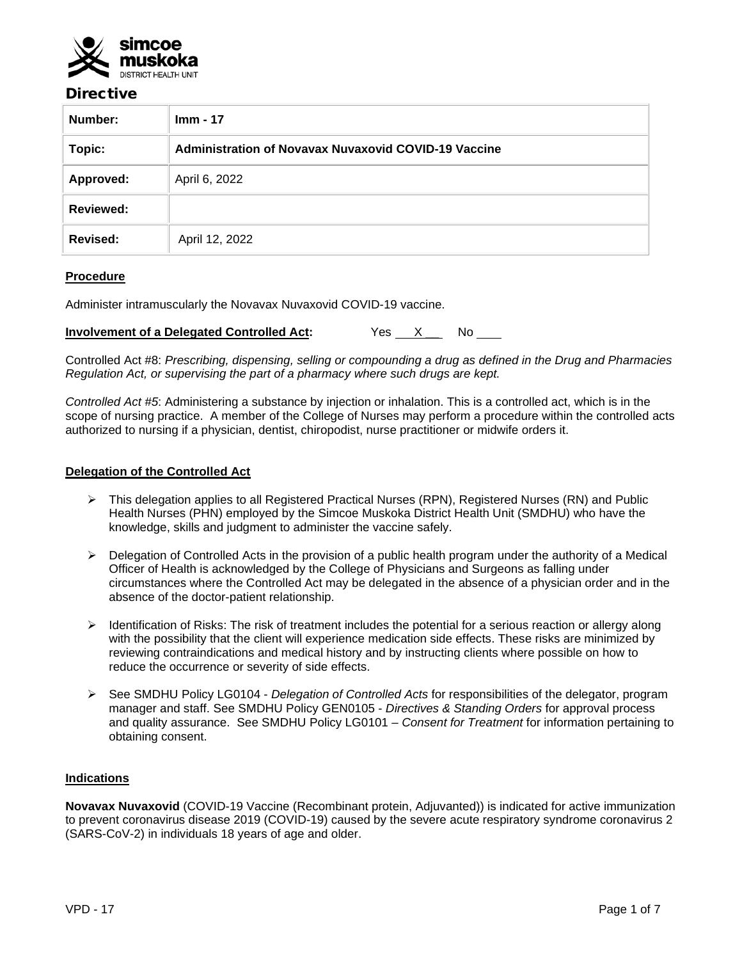

## Directive

| Number:          | $Imm - 17$                                           |  |
|------------------|------------------------------------------------------|--|
| Topic:           | Administration of Novavax Nuvaxovid COVID-19 Vaccine |  |
| Approved:        | April 6, 2022                                        |  |
| <b>Reviewed:</b> |                                                      |  |
| Revised:         | April 12, 2022                                       |  |

## **Procedure**

Administer intramuscularly the Novavax Nuvaxovid COVID-19 vaccine.

| <b>Involvement of a Delegated Controlled Act:</b> | Yes |  |  |  |
|---------------------------------------------------|-----|--|--|--|
|---------------------------------------------------|-----|--|--|--|

Controlled Act #8: *Prescribing, dispensing, selling or compounding a drug as defined in the Drug and Pharmacies Regulation Act, or supervising the part of a pharmacy where such drugs are kept.*

*Controlled Act #5*: Administering a substance by injection or inhalation. This is a controlled act, which is in the scope of nursing practice. A member of the College of Nurses may perform a procedure within the controlled acts authorized to nursing if a physician, dentist, chiropodist, nurse practitioner or midwife orders it.

#### **Delegation of the Controlled Act**

- This delegation applies to all Registered Practical Nurses (RPN), Registered Nurses (RN) and Public Health Nurses (PHN) employed by the Simcoe Muskoka District Health Unit (SMDHU) who have the knowledge, skills and judgment to administer the vaccine safely.
- $\triangleright$  Delegation of Controlled Acts in the provision of a public health program under the authority of a Medical Officer of Health is acknowledged by the College of Physicians and Surgeons as falling under circumstances where the Controlled Act may be delegated in the absence of a physician order and in the absence of the doctor-patient relationship.
- > Identification of Risks: The risk of treatment includes the potential for a serious reaction or allergy along with the possibility that the client will experience medication side effects. These risks are minimized by reviewing contraindications and medical history and by instructing clients where possible on how to reduce the occurrence or severity of side effects.
- See SMDHU Policy LG0104 *Delegation of Controlled Acts* for responsibilities of the delegator, program manager and staff. See SMDHU Policy GEN0105 - *Directives & Standing Orders* for approval process and quality assurance. See SMDHU Policy LG0101 – *Consent for Treatment* for information pertaining to obtaining consent.

#### **Indications**

**Novavax Nuvaxovid** (COVID-19 Vaccine (Recombinant protein, Adjuvanted)) is indicated for active immunization to prevent coronavirus disease 2019 (COVID-19) caused by the severe acute respiratory syndrome coronavirus 2 (SARS-CoV-2) in individuals 18 years of age and older.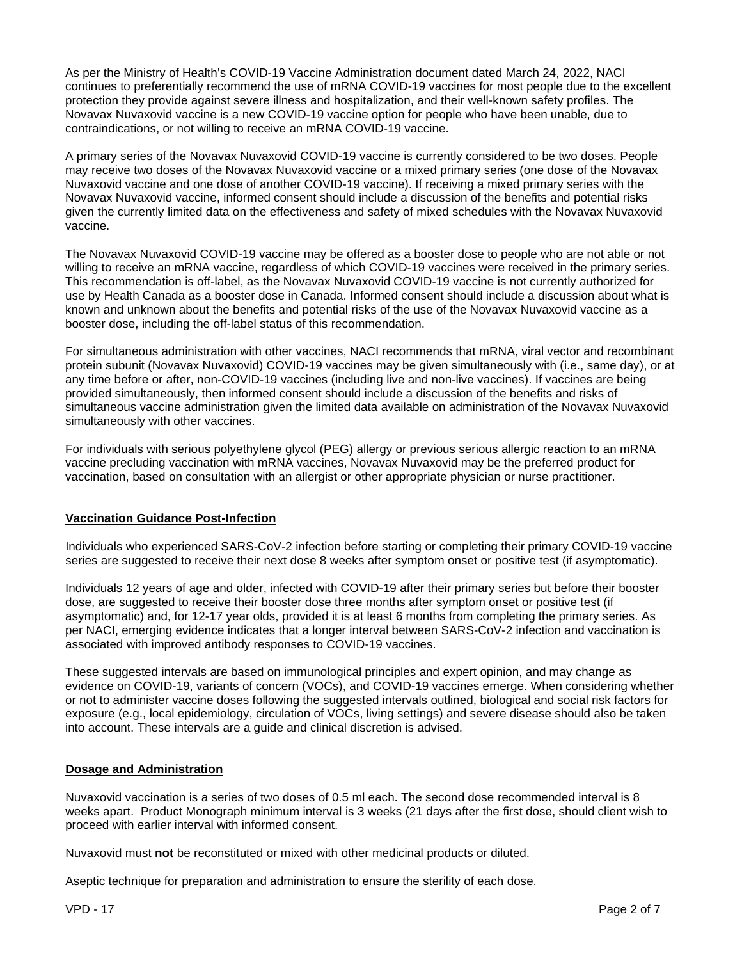As per the Ministry of Health's COVID-19 Vaccine Administration document dated March 24, 2022, NACI continues to preferentially recommend the use of mRNA COVID-19 vaccines for most people due to the excellent protection they provide against severe illness and hospitalization, and their well-known safety profiles. The Novavax Nuvaxovid vaccine is a new COVID-19 vaccine option for people who have been unable, due to contraindications, or not willing to receive an mRNA COVID-19 vaccine.

A primary series of the Novavax Nuvaxovid COVID-19 vaccine is currently considered to be two doses. People may receive two doses of the Novavax Nuvaxovid vaccine or a mixed primary series (one dose of the Novavax Nuvaxovid vaccine and one dose of another COVID-19 vaccine). If receiving a mixed primary series with the Novavax Nuvaxovid vaccine, informed consent should include a discussion of the benefits and potential risks given the currently limited data on the effectiveness and safety of mixed schedules with the Novavax Nuvaxovid vaccine.

The Novavax Nuvaxovid COVID-19 vaccine may be offered as a booster dose to people who are not able or not willing to receive an mRNA vaccine, regardless of which COVID-19 vaccines were received in the primary series. This recommendation is off-label, as the Novavax Nuvaxovid COVID-19 vaccine is not currently authorized for use by Health Canada as a booster dose in Canada. Informed consent should include a discussion about what is known and unknown about the benefits and potential risks of the use of the Novavax Nuvaxovid vaccine as a booster dose, including the off-label status of this recommendation.

For simultaneous administration with other vaccines, NACI recommends that mRNA, viral vector and recombinant protein subunit (Novavax Nuvaxovid) COVID-19 vaccines may be given simultaneously with (i.e., same day), or at any time before or after, non-COVID-19 vaccines (including live and non-live vaccines). If vaccines are being provided simultaneously, then informed consent should include a discussion of the benefits and risks of simultaneous vaccine administration given the limited data available on administration of the Novavax Nuvaxovid simultaneously with other vaccines.

For individuals with serious polyethylene glycol (PEG) allergy or previous serious allergic reaction to an mRNA vaccine precluding vaccination with mRNA vaccines, Novavax Nuvaxovid may be the preferred product for vaccination, based on consultation with an allergist or other appropriate physician or nurse practitioner.

## **Vaccination Guidance Post-Infection**

Individuals who experienced SARS-CoV-2 infection before starting or completing their primary COVID-19 vaccine series are suggested to receive their next dose 8 weeks after symptom onset or positive test (if asymptomatic).

Individuals 12 years of age and older, infected with COVID-19 after their primary series but before their booster dose, are suggested to receive their booster dose three months after symptom onset or positive test (if asymptomatic) and, for 12-17 year olds, provided it is at least 6 months from completing the primary series. As per NACI, emerging evidence indicates that a longer interval between SARS-CoV-2 infection and vaccination is associated with improved antibody responses to COVID-19 vaccines.

These suggested intervals are based on immunological principles and expert opinion, and may change as evidence on COVID-19, variants of concern (VOCs), and COVID-19 vaccines emerge. When considering whether or not to administer vaccine doses following the suggested intervals outlined, biological and social risk factors for exposure (e.g., local epidemiology, circulation of VOCs, living settings) and severe disease should also be taken into account. These intervals are a guide and clinical discretion is advised.

#### **Dosage and Administration**

Nuvaxovid vaccination is a series of two doses of 0.5 ml each. The second dose recommended interval is 8 weeks apart. Product Monograph minimum interval is 3 weeks (21 days after the first dose, should client wish to proceed with earlier interval with informed consent.

Nuvaxovid must **not** be reconstituted or mixed with other medicinal products or diluted.

Aseptic technique for preparation and administration to ensure the sterility of each dose.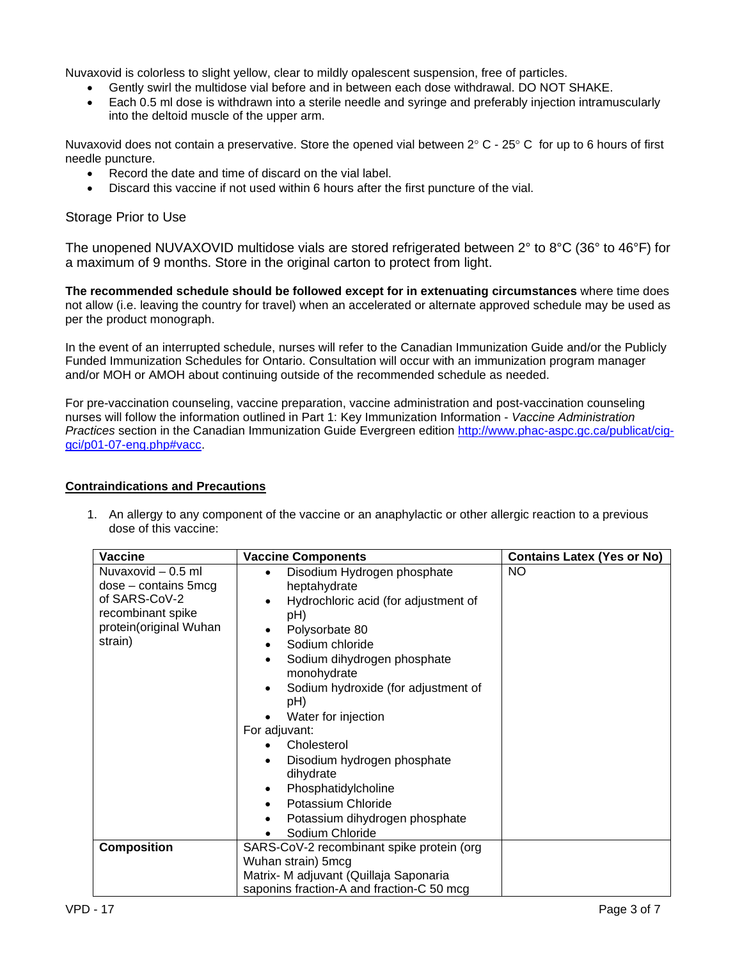Nuvaxovid is colorless to slight yellow, clear to mildly opalescent suspension, free of particles.

- Gently swirl the multidose vial before and in between each dose withdrawal. DO NOT SHAKE.
- Each 0.5 ml dose is withdrawn into a sterile needle and syringe and preferably injection intramuscularly into the deltoid muscle of the upper arm.

Nuvaxovid does not contain a preservative. Store the opened vial between  $2^{\circ}$  C -  $25^{\circ}$  C for up to 6 hours of first needle puncture.

- Record the date and time of discard on the vial label.
- Discard this vaccine if not used within 6 hours after the first puncture of the vial.

#### Storage Prior to Use

The unopened NUVAXOVID multidose vials are stored refrigerated between 2° to 8°C (36° to 46°F) for a maximum of 9 months. Store in the original carton to protect from light.

**The recommended schedule should be followed except for in extenuating circumstances** where time does not allow (i.e. leaving the country for travel) when an accelerated or alternate approved schedule may be used as per the product monograph.

In the event of an interrupted schedule, nurses will refer to the Canadian Immunization Guide and/or the Publicly Funded Immunization Schedules for Ontario. Consultation will occur with an immunization program manager and/or MOH or AMOH about continuing outside of the recommended schedule as needed.

For pre-vaccination counseling, vaccine preparation, vaccine administration and post-vaccination counseling nurses will follow the information outlined in Part 1: Key Immunization Information - *Vaccine Administration Practices* section in the Canadian Immunization Guide Evergreen edition [http://www.phac-aspc.gc.ca/publicat/cig](http://www.phac-aspc.gc.ca/publicat/cig-gci/p01-07-eng.php#vacc)[gci/p01-07-eng.php#vacc.](http://www.phac-aspc.gc.ca/publicat/cig-gci/p01-07-eng.php#vacc)

#### **Contraindications and Precautions**

1. An allergy to any component of the vaccine or an anaphylactic or other allergic reaction to a previous dose of this vaccine:

| <b>Vaccine</b>                                                                                                           | <b>Vaccine Components</b>                                                                                                                                                                                                                                                                                                                                                                                                                                                                                                   | <b>Contains Latex (Yes or No)</b> |
|--------------------------------------------------------------------------------------------------------------------------|-----------------------------------------------------------------------------------------------------------------------------------------------------------------------------------------------------------------------------------------------------------------------------------------------------------------------------------------------------------------------------------------------------------------------------------------------------------------------------------------------------------------------------|-----------------------------------|
| Nuvaxovid - 0.5 ml<br>$dose$ – contains 5 mcg<br>of SARS-CoV-2<br>recombinant spike<br>protein(original Wuhan<br>strain) | Disodium Hydrogen phosphate<br>$\bullet$<br>heptahydrate<br>Hydrochloric acid (for adjustment of<br>$\bullet$<br>pH)<br>Polysorbate 80<br>Sodium chloride<br>$\bullet$<br>Sodium dihydrogen phosphate<br>$\bullet$<br>monohydrate<br>Sodium hydroxide (for adjustment of<br>$\bullet$<br>pH)<br>Water for injection<br>For adjuvant:<br>Cholesterol<br>Disodium hydrogen phosphate<br>$\bullet$<br>dihydrate<br>Phosphatidylcholine<br>$\bullet$<br>Potassium Chloride<br>Potassium dihydrogen phosphate<br>Sodium Chloride | NO.                               |
| <b>Composition</b>                                                                                                       | SARS-CoV-2 recombinant spike protein (org<br>Wuhan strain) 5mcg<br>Matrix- M adjuvant (Quillaja Saponaria<br>saponins fraction-A and fraction-C 50 mcg                                                                                                                                                                                                                                                                                                                                                                      |                                   |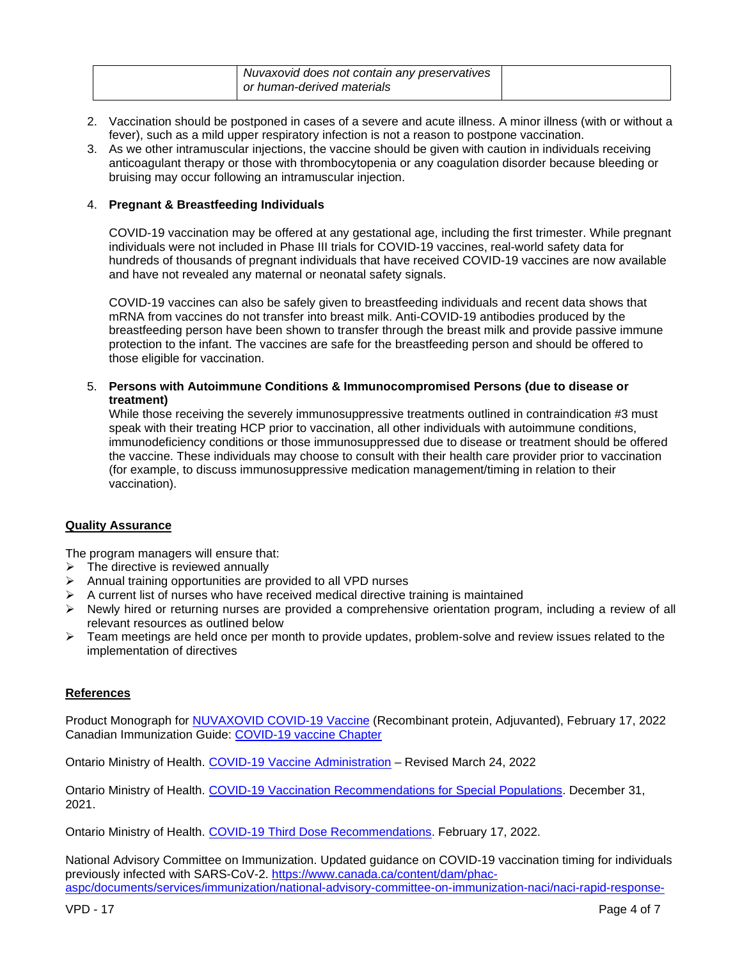| Nuvaxovid does not contain any preservatives |  |
|----------------------------------------------|--|
| or human-derived materials                   |  |

- 2. Vaccination should be postponed in cases of a severe and acute illness. A minor illness (with or without a fever), such as a mild upper respiratory infection is not a reason to postpone vaccination.
- 3. As we other intramuscular injections, the vaccine should be given with caution in individuals receiving anticoagulant therapy or those with thrombocytopenia or any coagulation disorder because bleeding or bruising may occur following an intramuscular injection.

#### 4. **Pregnant & Breastfeeding Individuals**

COVID-19 vaccination may be offered at any gestational age, including the first trimester. While pregnant individuals were not included in Phase III trials for COVID-19 vaccines, real-world safety data for hundreds of thousands of pregnant individuals that have received COVID-19 vaccines are now available and have not revealed any maternal or neonatal safety signals.

COVID-19 vaccines can also be safely given to breastfeeding individuals and recent data shows that mRNA from vaccines do not transfer into breast milk. Anti-COVID-19 antibodies produced by the breastfeeding person have been shown to transfer through the breast milk and provide passive immune protection to the infant. The vaccines are safe for the breastfeeding person and should be offered to those eligible for vaccination.

5. **Persons with Autoimmune Conditions & Immunocompromised Persons (due to disease or treatment)**

While those receiving the severely immunosuppressive treatments outlined in contraindication #3 must speak with their treating HCP prior to vaccination, all other individuals with autoimmune conditions, immunodeficiency conditions or those immunosuppressed due to disease or treatment should be offered the vaccine. These individuals may choose to consult with their health care provider prior to vaccination (for example, to discuss immunosuppressive medication management/timing in relation to their vaccination).

#### **Quality Assurance**

The program managers will ensure that:

- $\triangleright$  The directive is reviewed annually
- $\triangleright$  Annual training opportunities are provided to all VPD nurses
- $\triangleright$  A current list of nurses who have received medical directive training is maintained
- $\triangleright$  Newly hired or returning nurses are provided a comprehensive orientation program, including a review of all relevant resources as outlined below
- $\triangleright$  Team meetings are held once per month to provide updates, problem-solve and review issues related to the implementation of directives

#### **References**

Product Monograph for [NUVAXOVID COVID-19 Vaccine](https://covid-vaccine.canada.ca/info/pdf/nuvaxovid-pm-en.pdf) (Recombinant protein, Adjuvanted), February 17, 2022 Canadian Immunization Guide: [COVID-19 vaccine Chapter](https://www.canada.ca/en/public-health/services/publications/healthy-living/canadian-immunization-guide-part-4-active-vaccines/page-26-covid-19-vaccine.html)

Ontario Ministry of Health. [COVID-19 Vaccine Administration](https://www.health.gov.on.ca/en/pro/programs/publichealth/coronavirus/docs/vaccine/COVID-19_Pfizer_vaccine_admin.pdf) – Revised March 24, 2022

Ontario Ministry of Health. [COVID-19 Vaccination Recommendations for Special Populations.](https://www.health.gov.on.ca/en/pro/programs/publichealth/coronavirus/docs/vaccine/COVID-19_vaccination_rec_special_populations.pdf) December 31, 2021.

Ontario Ministry of Health. COVID-19 [Third Dose Recommendations.](https://www.health.gov.on.ca/en/pro/programs/publichealth/coronavirus/docs/vaccine/COVID-19_vaccine_third_dose_recommendations.pdf) February 17, 2022.

National Advisory Committee on Immunization. Updated guidance on COVID-19 vaccination timing for individuals previously infected with SARS-CoV-2. [https://www.canada.ca/content/dam/phac](https://www.canada.ca/content/dam/phac-aspc/documents/services/immunization/national-advisory-committee-on-immunization-naci/naci-rapid-response-updated-guidance-covid-19-vaccination-timing-individuals-previously-infected-sars-cov-2.pdf)[aspc/documents/services/immunization/national-advisory-committee-on-immunization-naci/naci-rapid-response-](https://www.canada.ca/content/dam/phac-aspc/documents/services/immunization/national-advisory-committee-on-immunization-naci/naci-rapid-response-updated-guidance-covid-19-vaccination-timing-individuals-previously-infected-sars-cov-2.pdf)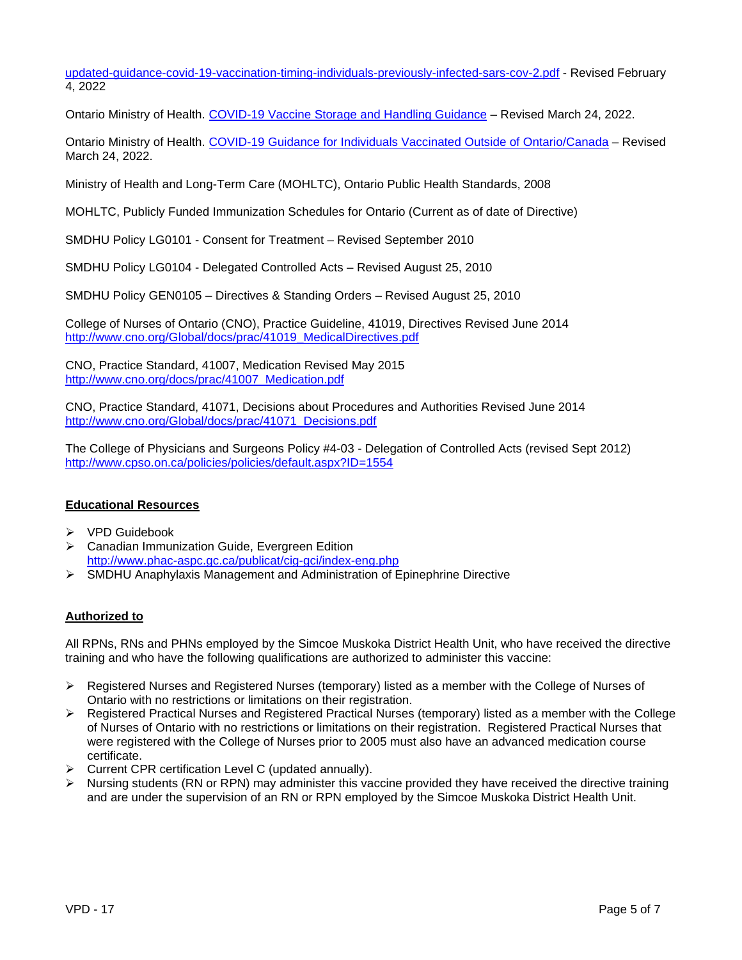[updated-guidance-covid-19-vaccination-timing-individuals-previously-infected-sars-cov-2.pdf](https://www.canada.ca/content/dam/phac-aspc/documents/services/immunization/national-advisory-committee-on-immunization-naci/naci-rapid-response-updated-guidance-covid-19-vaccination-timing-individuals-previously-infected-sars-cov-2.pdf) - Revised February 4, 2022

Ontario Ministry of Health. COVID-19 Vaccine [Storage and Handling](https://www.health.gov.on.ca/en/pro/programs/publichealth/coronavirus/docs/vaccine/vaccine_storage_handling_pfizer_moderna.pdf) Guidance – Revised March 24, 2022.

Ontario Ministry of Health. [COVID-19 Guidance](https://www.health.gov.on.ca/en/pro/programs/publichealth/coronavirus/docs/vaccine/COVID-19_guidance_for_individuals_vaccinated_outside_of_ontario.pdf) for Individuals Vaccinated Outside of Ontario/Canada – Revised March 24, 2022.

Ministry of Health and Long-Term Care (MOHLTC), Ontario Public Health Standards, 2008

MOHLTC, Publicly Funded Immunization Schedules for Ontario (Current as of date of Directive)

SMDHU Policy LG0101 - Consent for Treatment – Revised September 2010

SMDHU Policy LG0104 - Delegated Controlled Acts – Revised August 25, 2010

SMDHU Policy GEN0105 – Directives & Standing Orders – Revised August 25, 2010

College of Nurses of Ontario (CNO), Practice Guideline, 41019, Directives Revised June 2014 [http://www.cno.org/Global/docs/prac/41019\\_MedicalDirectives.pdf](http://www.cno.org/Global/docs/prac/41019_MedicalDirectives.pdf)

CNO, Practice Standard, 41007, Medication Revised May 2015 [http://www.cno.org/docs/prac/41007\\_Medication.pdf](http://www.cno.org/docs/prac/41007_Medication.pdf)

CNO, Practice Standard, 41071, Decisions about Procedures and Authorities Revised June 2014 [http://www.cno.org/Global/docs/prac/41071\\_Decisions.pdf](http://www.cno.org/Global/docs/prac/41071_Decisions.pdf)

The College of Physicians and Surgeons Policy #4-03 - Delegation of Controlled Acts (revised Sept 2012) <http://www.cpso.on.ca/policies/policies/default.aspx?ID=1554>

#### **Educational Resources**

- $\triangleright$  VPD Guidebook
- Canadian Immunization Guide, Evergreen Edition <http://www.phac-aspc.gc.ca/publicat/cig-gci/index-eng.php>
- SMDHU Anaphylaxis Management and Administration of Epinephrine Directive

#### **Authorized to**

All RPNs, RNs and PHNs employed by the Simcoe Muskoka District Health Unit, who have received the directive training and who have the following qualifications are authorized to administer this vaccine:

- Registered Nurses and Registered Nurses (temporary) listed as a member with the College of Nurses of Ontario with no restrictions or limitations on their registration.
- $\triangleright$  Registered Practical Nurses and Registered Practical Nurses (temporary) listed as a member with the College of Nurses of Ontario with no restrictions or limitations on their registration. Registered Practical Nurses that were registered with the College of Nurses prior to 2005 must also have an advanced medication course certificate.
- $\triangleright$  Current CPR certification Level C (updated annually).
- $\triangleright$  Nursing students (RN or RPN) may administer this vaccine provided they have received the directive training and are under the supervision of an RN or RPN employed by the Simcoe Muskoka District Health Unit.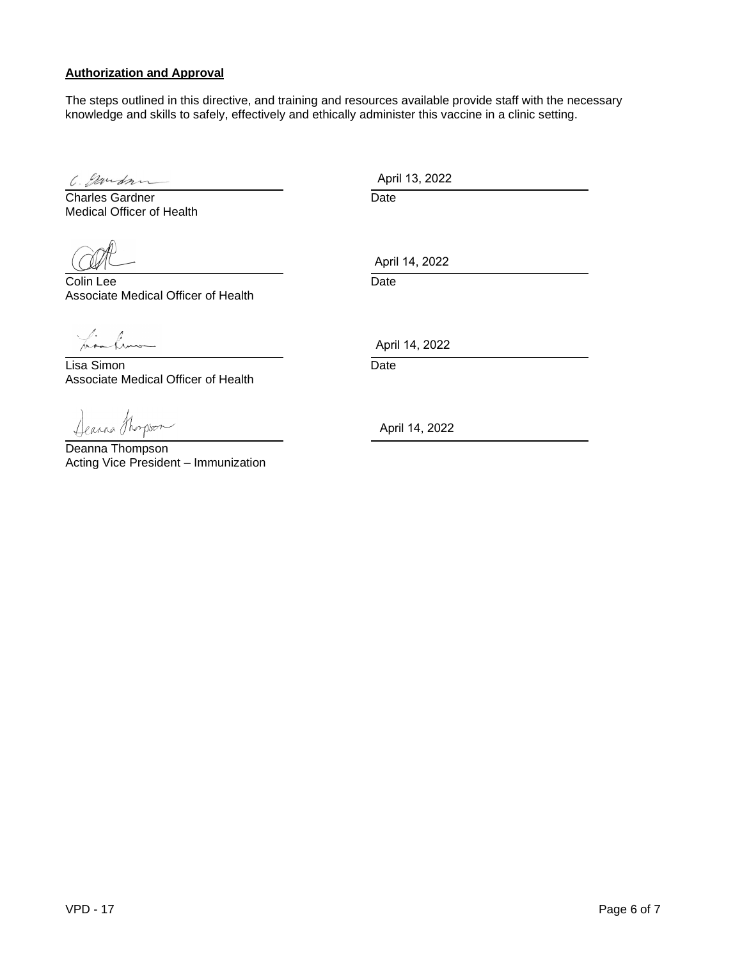#### **Authorization and Approval**

The steps outlined in this directive, and training and resources available provide staff with the necessary knowledge and skills to safely, effectively and ethically administer this vaccine in a clinic setting.

C. Exercise Charles Gardner Charles Gardner Date Medical Officer of Health

**Colin Lee** Date Associate Medical Officer of Health

his how

<u>Lisa Simon</u> Date Associate Medical Officer of Health

Dearna Thompson

Deanna Thompson Acting Vice President – Immunization

April 13, 2022

April 14, 2022

April 14, 2022

April 14, 2022